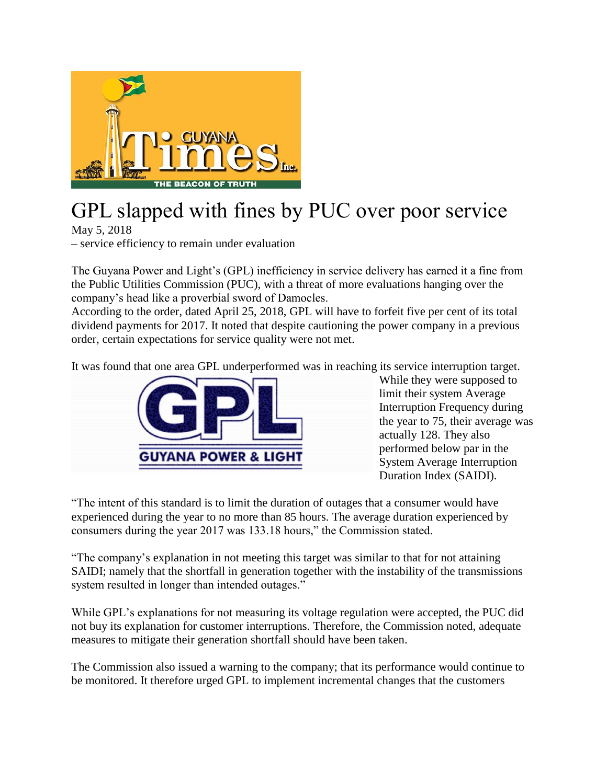

## GPL slapped with fines by PUC over poor service

May 5, 2018

– service efficiency to remain under evaluation

The Guyana Power and Light's (GPL) inefficiency in service delivery has earned it a fine from the Public Utilities Commission (PUC), with a threat of more evaluations hanging over the company's head like a proverbial sword of Damocles.

According to the order, dated April 25, 2018, GPL will have to forfeit five per cent of its total dividend payments for 2017. It noted that despite cautioning the power company in a previous order, certain expectations for service quality were not met.

It was found that one area GPL underperformed was in reaching its service interruption target.



While they were supposed to limit their system Average Interruption Frequency during the year to 75, their average was actually 128. They also performed below par in the System Average Interruption Duration Index (SAIDI).

"The intent of this standard is to limit the duration of outages that a consumer would have experienced during the year to no more than 85 hours. The average duration experienced by consumers during the year 2017 was 133.18 hours," the Commission stated.

"The company's explanation in not meeting this target was similar to that for not attaining SAIDI; namely that the shortfall in generation together with the instability of the transmissions system resulted in longer than intended outages."

While GPL's explanations for not measuring its voltage regulation were accepted, the PUC did not buy its explanation for customer interruptions. Therefore, the Commission noted, adequate measures to mitigate their generation shortfall should have been taken.

The Commission also issued a warning to the company; that its performance would continue to be monitored. It therefore urged GPL to implement incremental changes that the customers